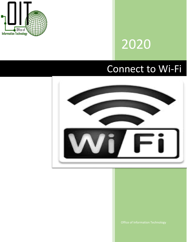

## 2020

## Connect to Wi-Fi

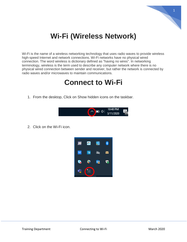

## **Wi-Fi (Wireless Network)**

Wi-Fi is the name of a [wireless](https://www.webopedia.com/TERM/W/wireless.html) networking technology that uses radio waves to provide wireless high-speed [Internet](https://www.webopedia.com/TERM/I/Internet.html) and [network](https://www.webopedia.com/TERM/N/network.html) connections. Wi-Fi networks have no physical wired connection. The word wireless is dictionary defined as "having no wires". In [networking](https://www.webopedia.com/TERM/N/network.html) terminology, wireless is the term used to describe any [computer](https://www.webopedia.com/TERM/C/computer.html) network where there is no physical wired connection between sender and receiver, but rather the network is connected by radio waves and/or microwaves to maintain communications.

## **Connect to Wi-Fi**

1. From the desktop, Click on Show hidden icons on the taskbar.



2. Click on the Wi-Fi icon.

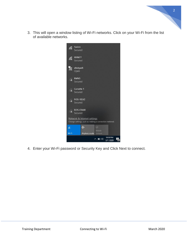3. This will open a window listing of Wi-Fi networks. Click on your Wi-Fi from the list of available networks.



4. Enter your Wi-Fi password or Security Key and Click Next to connect.